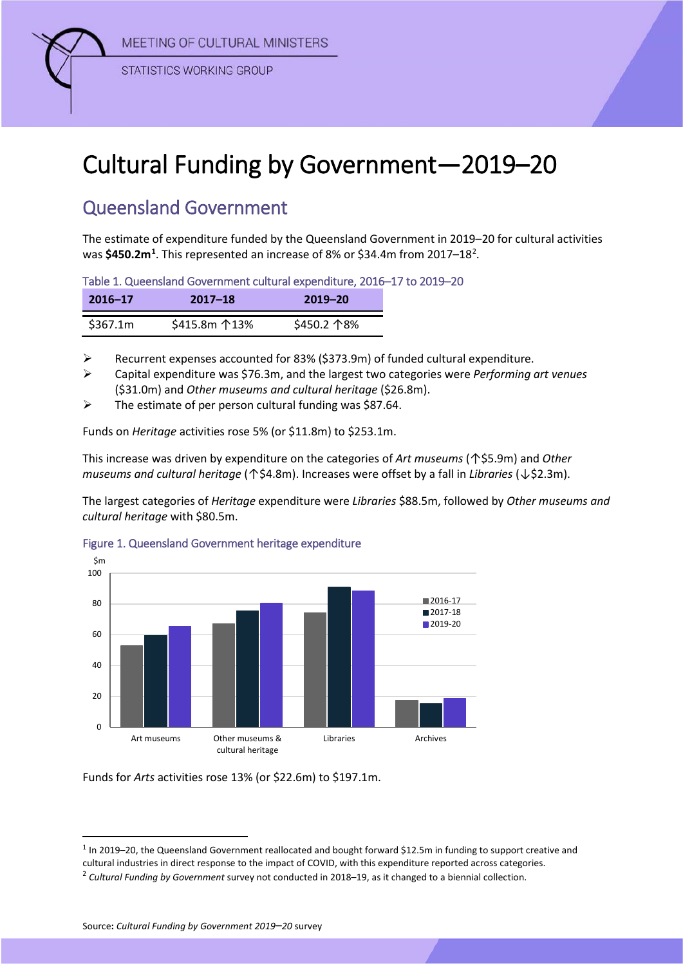MEETING OF CULTURAL MINISTERS



**STATISTICS WORKING GROUP** 

## Cultural Funding by Government—2019–20

## Queensland Government

The estimate of expenditure funded by the Queensland Government in 2019–20 for cultural activities was \$450.2m<sup>[1](#page-0-0)</sup>. This represented an increase of 8% or \$34.4m from [2](#page-0-1)017–18<sup>2</sup>.

Table 1. Queensland Government cultural expenditure, 2016–17 to 2019–20

| $2016 - 17$ | 2017–18                 | 2019-20     |
|-------------|-------------------------|-------------|
| \$367.1m    | \$415.8m $\uparrow$ 13% | \$450.2 个8% |

 $\triangleright$  Recurrent expenses accounted for 83% (\$373.9m) of funded cultural expenditure.

 Capital expenditure was \$76.3m, and the largest two categories were *Performing art venues* (\$31.0m) and *Other museums and cultural heritage* (\$26.8m).

 $\triangleright$  The estimate of per person cultural funding was \$87.64.

Funds on *Heritage* activities rose 5% (or \$11.8m) to \$253.1m.

This increase was driven by expenditure on the categories of *Art museums* (↑\$5.9m) and *Other museums and cultural heritage* (↑\$4.8m). Increases were offset by a fall in *Libraries* (↓\$2.3m).

The largest categories of *Heritage* expenditure were *Libraries* \$88.5m, followed by *Other museums and cultural heritage* with \$80.5m.



## Figure 1. Queensland Government heritage expenditure

Funds for *Arts* activities rose 13% (or \$22.6m) to \$197.1m.

<span id="page-0-1"></span><span id="page-0-0"></span> $1$  In 2019–20, the Queensland Government reallocated and bought forward \$12.5m in funding to support creative and cultural industries in direct response to the impact of COVID, with this expenditure reported across categories. <sup>2</sup> *Cultural Funding by Government* survey not conducted in 2018–19, as it changed to a biennial collection.